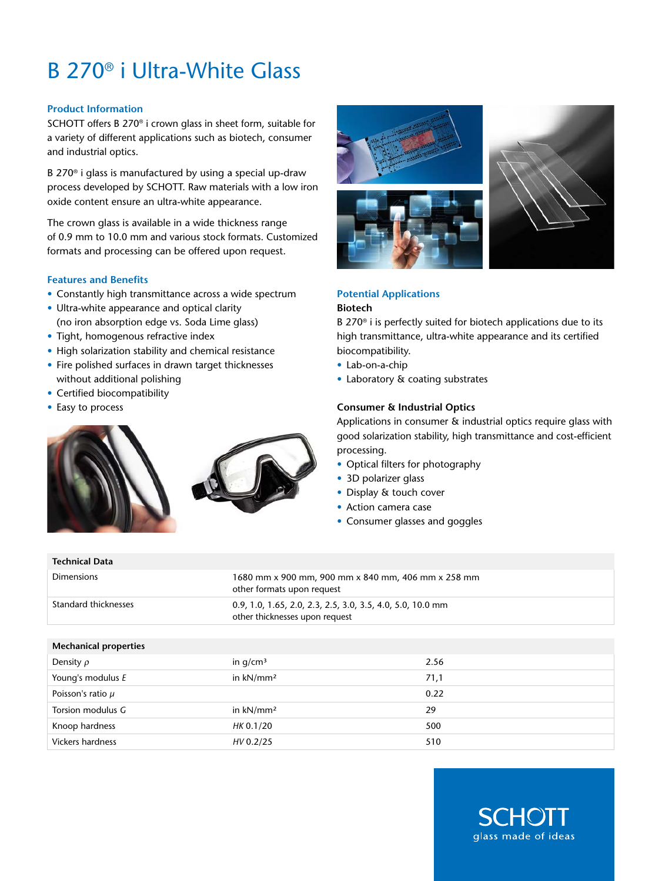# B 270® i Ultra-White Glass

# **Product Information**

SCHOTT offers B 270® i crown glass in sheet form, suitable for a variety of different applications such as biotech, consumer and industrial optics.

B 270® i glass is manufactured by using a special up-draw process developed by SCHOTT. Raw materials with a low iron oxide content ensure an ultra-white appearance.

The crown glass is available in a wide thickness range of 0.9 mm to 10.0 mm and various stock formats. Customized formats and processing can be offered upon request.

# **Features and Benefits**

- Constantly high transmittance across a wide spectrum
- Ultra-white appearance and optical clarity (no iron absorption edge vs. Soda Lime glass)
- Tight, homogenous refractive index
- High solarization stability and chemical resistance
- Fire polished surfaces in drawn target thicknesses without additional polishing
- Certified biocompatibility
- Easy to process

**Technical Data**





# **Potential Applications**

# **Biotech**

B 270® i is perfectly suited for biotech applications due to its high transmittance, ultra-white appearance and its certified biocompatibility.

- Lab-on-a-chip
- Laboratory & coating substrates

# **Consumer & Industrial Optics**

Applications in consumer & industrial optics require glass with good solarization stability, high transmittance and cost-efficient processing.

- Optical filters for photography
- 3D polarizer glass
- Display & touch cover
- Action camera case
- Consumer glasses and goggles

| <b>Dimensions</b>            | 1680 mm x 900 mm, 900 mm x 840 mm, 406 mm x 258 mm<br>other formats upon request             |      |
|------------------------------|----------------------------------------------------------------------------------------------|------|
| Standard thicknesses         | 0.9, 1.0, 1.65, 2.0, 2.3, 2.5, 3.0, 3.5, 4.0, 5.0, 10.0 mm<br>other thicknesses upon request |      |
|                              |                                                                                              |      |
| <b>Mechanical properties</b> |                                                                                              |      |
| Density $\rho$               | in $q/cm3$                                                                                   | 2.56 |
| Young's modulus E            | in $kN/mm^2$                                                                                 | 71,1 |
| Poisson's ratio $\mu$        |                                                                                              | 0.22 |
| Torsion modulus G            | in $kN/mm^2$                                                                                 | 29   |
| Knoop hardness               | HK 0.1/20                                                                                    | 500  |
| <b>Vickers hardness</b>      | HV 0.2/25                                                                                    | 510  |
|                              |                                                                                              |      |